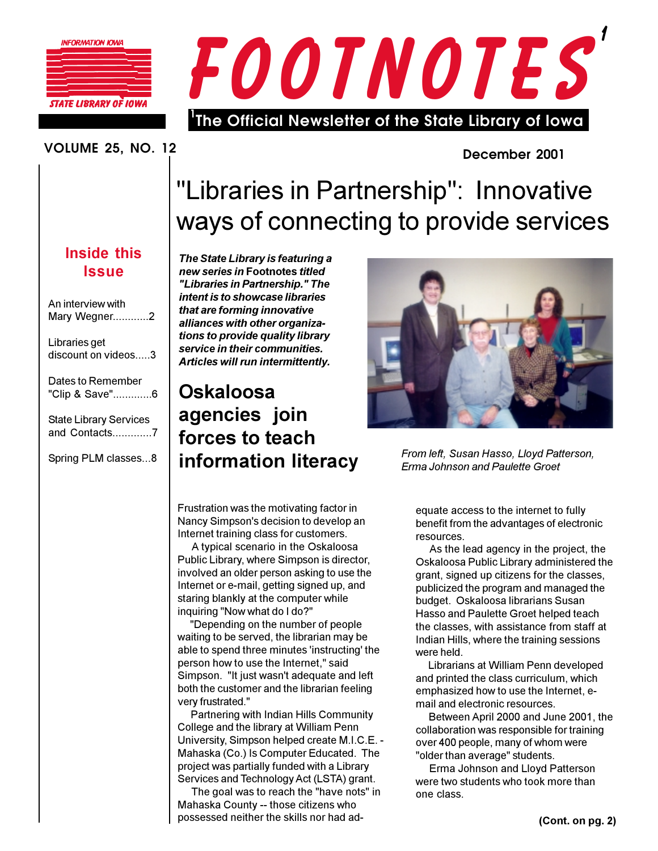

STATE LIBRARY OF IOWA



# **VOLUME 25. NO. 12**

# December 2001

# "Libraries in Partnership": Innovative ways of connecting to provide services

The State Library is featuring a new series in Footnotes titled "Libraries in Partnership." The intent is to showcase libraries that are forming innovative alliances with other organizations to provide quality library service in their communities. Articles will run intermittently.

# Oskaloosa agencies join forces to teach information literacy



From left, Susan Hasso, Lloyd Patterson, Erma Johnson and Paulette Groet

Frustration was the motivating factor in Nancy Simpson's decision to develop an Internet training class for customers.

A typical scenario in the Oskaloosa Public Library, where Simpson is director, involved an older person asking to use the Internet or e-mail, getting signed up, and staring blankly at the computer while inquiring "Now what do I do?"

"Depending on the number of people waiting to be served, the librarian may be able to spend three minutes 'instructing' the person how to use the Internet," said Simpson. "It just wasn't adequate and left both the customer and the librarian feeling very frustrated."

Partnering with Indian Hills Community College and the library at William Penn University, Simpson helped create M.I.C.E. -Mahaska (Co.) Is Computer Educated. The project was partially funded with a Library Services and Technology Act (LSTA) grant.

The goal was to reach the "have nots" in Mahaska County -- those citizens who possessed neither the skills nor had adequate access to the internet to fully benefit from the advantages of electronic resources.

As the lead agency in the project, the Oskaloosa Public Library administered the grant, signed up citizens for the classes, publicized the program and managed the budget. Oskaloosa librarians Susan Hasso and Paulette Groet helped teach the classes, with assistance from staff at Indian Hills, where the training sessions were held.

Librarians at William Penn developed and printed the class curriculum, which emphasized how to use the Internet, email and electronic resources.

Between April 2000 and June 2001, the collaboration was responsible for training over 400 people, many of whom were "older than average" students.

Erma Johnson and Lloyd Patterson were two students who took more than one class.

**Inside this Issue** 

| An interview with<br>Mary Wegner2              |
|------------------------------------------------|
| Libraries get<br>discount on videos3           |
| Dates to Remember<br>"Clip & Save"6            |
| <b>State Library Services</b><br>and Contacts7 |
| Spring PLM classes8                            |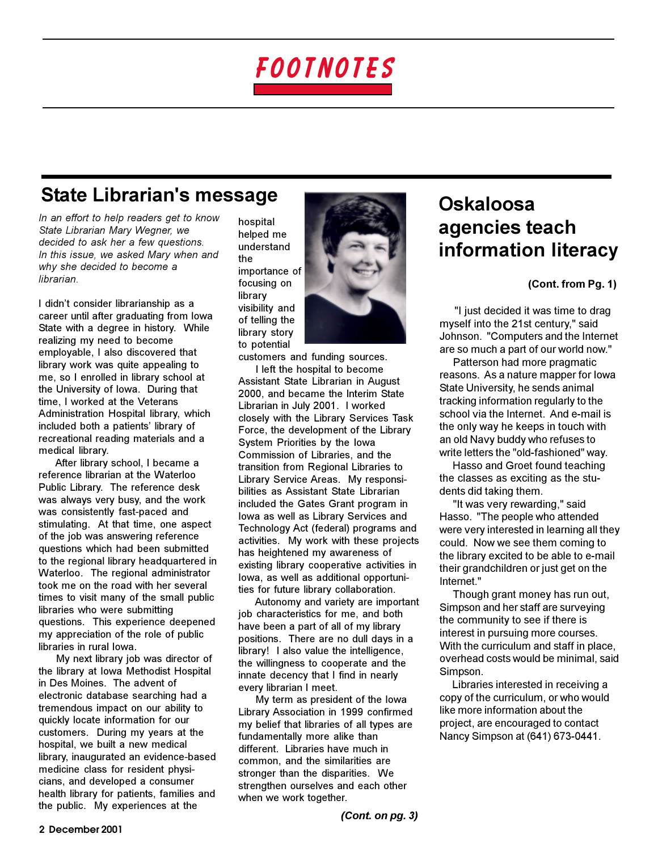

# **State Librarian's message**

In an effort to help readers get to know State Librarian Mary Wegner, we decided to ask her a few questions. In this issue, we asked Mary when and why she decided to become a librarian.

I didn't consider librarianship as a career until after graduating from lowa State with a degree in history. While realizing my need to become employable, I also discovered that library work was quite appealing to me, so I enrolled in library school at the University of Iowa. During that time, I worked at the Veterans Administration Hospital library, which included both a patients' library of recreational reading materials and a medical library.

After library school. I became a reference librarian at the Waterloo Public Library. The reference desk was always very busy, and the work was consistently fast-paced and stimulating. At that time, one aspect of the job was answering reference questions which had been submitted to the regional library headquartered in Waterloo. The regional administrator took me on the road with her several times to visit many of the small public libraries who were submitting questions. This experience deepened my appreciation of the role of public libraries in rural lowa.

My next library job was director of the library at Iowa Methodist Hospital in Des Moines. The advent of electronic database searching had a tremendous impact on our ability to quickly locate information for our customers. During my years at the hospital, we built a new medical library, inaugurated an evidence-based medicine class for resident physicians, and developed a consumer health library for patients, families and the public. My experiences at the

hospital helped me understand the importance of focusing on library visibility and of telling the library story to potential

customers and funding sources.

I left the hospital to become Assistant State Librarian in August 2000, and became the Interim State Librarian in July 2001. I worked closely with the Library Services Task Force, the development of the Library System Priorities by the lowa Commission of Libraries, and the transition from Regional Libraries to Library Service Areas. My responsibilities as Assistant State Librarian included the Gates Grant program in lowa as well as Library Services and Technology Act (federal) programs and activities. My work with these projects has heightened my awareness of existing library cooperative activities in lowa, as well as additional opportunities for future library collaboration.

Autonomy and variety are important job characteristics for me, and both have been a part of all of my library positions. There are no dull days in a library! I also value the intelligence, the willingness to cooperate and the innate decency that I find in nearly every librarian I meet.

My term as president of the lowa Library Association in 1999 confirmed my belief that libraries of all types are fundamentally more alike than different. Libraries have much in common, and the similarities are stronger than the disparities. We strengthen ourselves and each other when we work together.

# Oskaloosa agencies teach information literacy

(Cont. from Pg. 1)

"I just decided it was time to drag myself into the 21st century," said Johnson. "Computers and the Internet are so much a part of our world now."

Patterson had more pragmatic reasons. As a nature mapper for lowa State University, he sends animal tracking information regularly to the school via the Internet. And e-mail is the only way he keeps in touch with an old Navy buddy who refuses to write letters the "old-fashioned" way.

Hasso and Groet found teaching the classes as exciting as the students did taking them.

"It was very rewarding," said Hasso. "The people who attended were very interested in learning all they could. Now we see them coming to the library excited to be able to e-mail their grandchildren or just get on the Internet."

Though grant money has run out, Simpson and her staff are surveying the community to see if there is interest in pursuing more courses. With the curriculum and staff in place. overhead costs would be minimal, said Simpson.

Libraries interested in receiving a copy of the curriculum, or who would like more information about the project, are encouraged to contact Nancy Simpson at (641) 673-0441.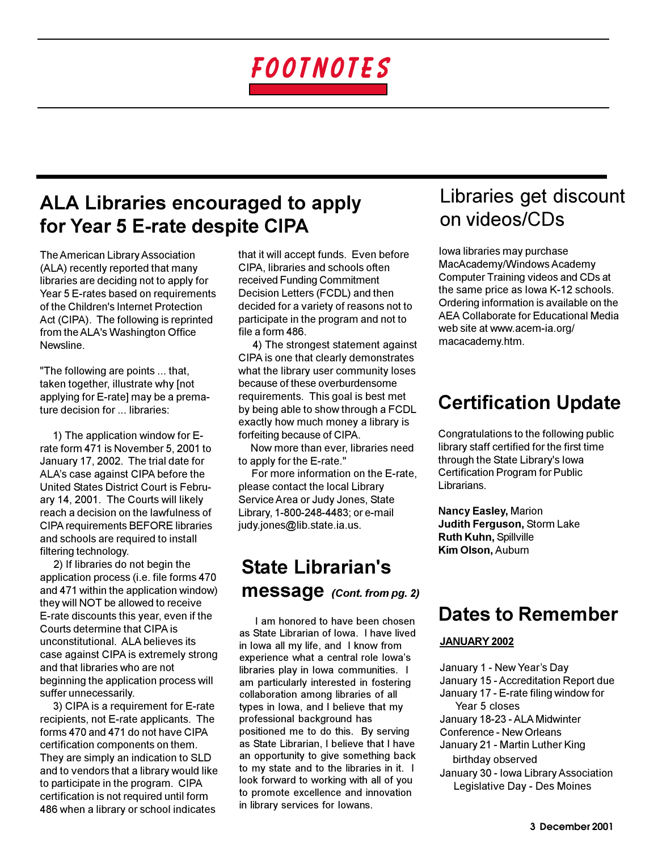# FOOTNOTES

# **ALA Libraries encouraged to apply** for Year 5 E-rate despite CIPA

The American Library Association (ALA) recently reported that many libraries are deciding not to apply for Year 5 E-rates based on requirements of the Children's Internet Protection Act (CIPA). The following is reprinted from the ALA's Washington Office **Newsline** 

"The following are points ... that, taken together, illustrate why [not applying for E-rate] may be a premature decision for ... libraries:

1) The application window for Erate form 471 is November 5, 2001 to January 17, 2002. The trial date for ALA's case against CIPA before the United States District Court is February 14, 2001. The Courts will likely reach a decision on the lawfulness of **CIPA requirements BEFORE libraries** and schools are required to install filtering technology.

2) If libraries do not begin the application process (i.e. file forms 470 and 471 within the application window) they will NOT be allowed to receive E-rate discounts this year, even if the Courts determine that CIPA is unconstitutional. ALA believes its case against CIPA is extremely strong and that libraries who are not beginning the application process will suffer unnecessarily.

3) CIPA is a requirement for E-rate recipients, not E-rate applicants. The forms 470 and 471 do not have CIPA certification components on them. They are simply an indication to SLD and to vendors that a library would like to participate in the program. CIPA certification is not required until form 486 when a library or school indicates

that it will accept funds. Even before CIPA, libraries and schools often received Funding Commitment Decision Letters (FCDL) and then decided for a variety of reasons not to participate in the program and not to file a form 486.

4) The strongest statement against CIPA is one that clearly demonstrates what the library user community loses because of these overburdensome requirements. This goal is best met by being able to show through a FCDL exactly how much money a library is forfeiting because of CIPA.

Now more than ever, libraries need to apply for the E-rate."

For more information on the E-rate, please contact the local Library Service Area or Judy Jones, State Library, 1-800-248-4483; or e-mail judy.jones@lib.state.ia.us.

# **State Librarian's Message** (Cont. from pg. 2)

I am honored to have been chosen as State Librarian of Iowa. I have lived in lowa all my life, and I know from experience what a central role lowa's libraries play in lowa communities. I am particularly interested in fostering collaboration among libraries of all types in lowa, and I believe that my professional background has positioned me to do this. By serving as State Librarian, I believe that I have an opportunity to give something back to my state and to the libraries in it. I look forward to working with all of you to promote excellence and innovation in library services for lowans.

# Libraries get discount on videos/CDs

lowa libraries may purchase MacAcademy/Windows Academy Computer Training videos and CDs at the same price as lowa K-12 schools. Ordering information is available on the AEA Collaborate for Educational Media web site at www.acem-ia.org/ macacademy.htm.

# **Certification Update**

Congratulations to the following public library staff certified for the first time through the State Library's lowa **Certification Program for Public** Librarians.

**Nancy Easley, Marion Judith Ferguson, Storm Lake Ruth Kuhn, Spillville** Kim Olson, Auburn

# **Dates to Remember**

### JANUARY 2002

January 1 - New Year's Day January 15 - Accreditation Report due January 17 - E-rate filing window for Year 5 closes January 18-23 - ALA Midwinter Conference - New Orleans January 21 - Martin Luther King birthday observed

January 30 - Iowa Library Association Legislative Day - Des Moines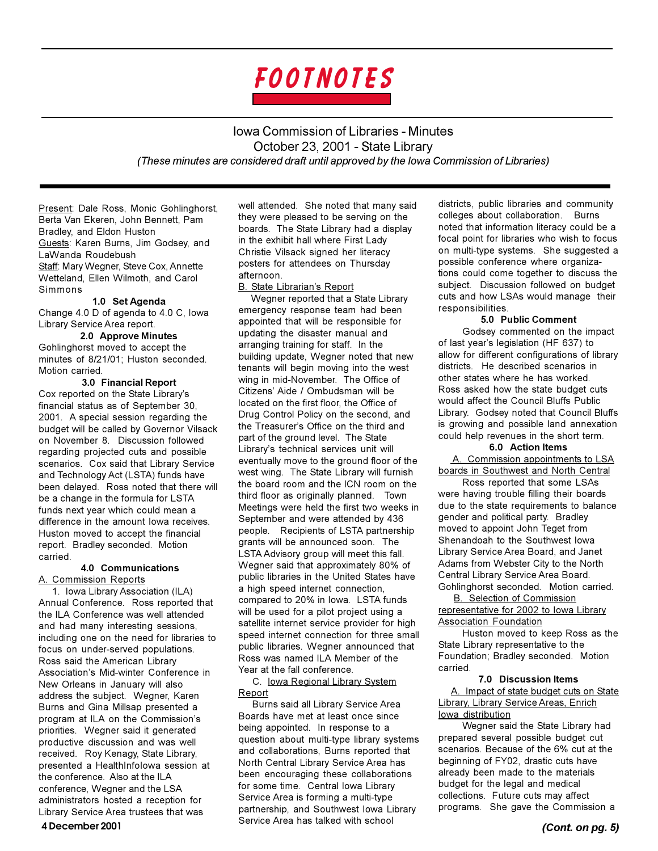

**Iowa Commission of Libraries - Minutes** October 23, 2001 - State Library (These minutes are considered draft until approved by the lowa Commission of Libraries)

Present: Dale Ross, Monic Gohlinghorst, Berta Van Ekeren, John Bennett, Pam Bradley, and Eldon Huston Guests: Karen Burns, Jim Godsey, and LaWanda Roudebush Staff: Mary Wegner, Steve Cox, Annette Wetteland, Ellen Wilmoth, and Carol Simmons

1.0 Set Agenda Change 4.0 D of agenda to 4.0 C, lowa Library Service Area report.

#### 2.0 Approve Minutes

Gohlinghorst moved to accept the minutes of 8/21/01; Huston seconded. Motion carried.

3.0 Financial Report Cox reported on the State Library's financial status as of September 30. 2001. A special session regarding the budget will be called by Governor Vilsack on November 8. Discussion followed regarding projected cuts and possible scenarios. Cox said that Library Service and Technology Act (LSTA) funds have been delayed. Ross noted that there will be a change in the formula for LSTA funds next year which could mean a difference in the amount lowa receives. Huston moved to accept the financial report. Bradley seconded. Motion carried.

#### **4.0 Communications** A. Commission Reports

1. Iowa Library Association (ILA) Annual Conference. Ross reported that the ILA Conference was well attended and had many interesting sessions. including one on the need for libraries to focus on under-served populations. Ross said the American Library Association's Mid-winter Conference in New Orleans in January will also address the subject. Wegner, Karen Burns and Gina Millsap presented a program at ILA on the Commission's priorities. Wegner said it generated productive discussion and was well received. Roy Kenagy, State Library, presented a HealthInfolowa session at the conference. Also at the ILA conference. Weaner and the LSA administrators hosted a reception for Library Service Area trustees that was

well attended. She noted that many said they were pleased to be serving on the boards. The State Library had a display in the exhibit hall where First Lady Christie Vilsack signed her literacy posters for attendees on Thursday afternoon B. State Librarian's Report

Wegner reported that a State Library emergency response team had been appointed that will be responsible for updating the disaster manual and arranging training for staff. In the building update, Wegner noted that new tenants will begin moving into the west wing in mid-November. The Office of Citizens' Aide / Ombudsman will be located on the first floor, the Office of Drug Control Policy on the second, and the Treasurer's Office on the third and part of the ground level. The State Library's technical services unit will eventually move to the ground floor of the west wing. The State Library will furnish the board room and the ICN room on the third floor as originally planned. Town Meetings were held the first two weeks in September and were attended by 436 people. Recipients of LSTA partnership grants will be announced soon. The LSTA Advisory group will meet this fall. Wegner said that approximately 80% of public libraries in the United States have a high speed internet connection, compared to 20% in lowa. LSTA funds will be used for a pilot project using a satellite internet service provider for high speed internet connection for three small public libraries. Wegner announced that Ross was named ILA Member of the Year at the fall conference.

C. lowa Regional Library System Report

Burns said all Library Service Area Boards have met at least once since being appointed. In response to a question about multi-type library systems and collaborations, Burns reported that North Central Library Service Area has been encouraging these collaborations for some time. Central lowa Library Service Area is forming a multi-type partnership, and Southwest lowa Library Service Area has talked with school

districts, public libraries and community colleges about collaboration. Burns noted that information literacy could be a focal point for libraries who wish to focus on multi-type systems. She suggested a possible conference where organizations could come together to discuss the subject. Discussion followed on budget cuts and how LSAs would manage their responsibilities.

#### 5.0 Public Comment

Godsey commented on the impact of last year's legislation (HF 637) to allow for different configurations of library districts. He described scenarios in other states where he has worked. Ross asked how the state budget cuts would affect the Council Bluffs Public Library. Godsey noted that Council Bluffs is growing and possible land annexation could help revenues in the short term.

#### 6.0 Action Items

A. Commission appointments to LSA boards in Southwest and North Central

Ross reported that some LSAs were having trouble filling their boards due to the state requirements to balance gender and political party. Bradley moved to appoint John Teget from Shenandoah to the Southwest lowa Library Service Area Board, and Janet Adams from Webster City to the North Central Library Service Area Board. Gohlinghorst seconded. Motion carried.

**B.** Selection of Commission representative for 2002 to lowa Library **Association Foundation** 

Huston moved to keep Ross as the State Library representative to the Foundation; Bradley seconded. Motion carried.

### 7.0 Discussion Items

A. Impact of state budget cuts on State **Library, Library Service Areas, Enrich** lowa distribution

Wegner said the State Library had prepared several possible budget cut scenarios. Because of the 6% cut at the beginning of FY02, drastic cuts have already been made to the materials budget for the legal and medical collections. Future cuts may affect programs. She gave the Commission a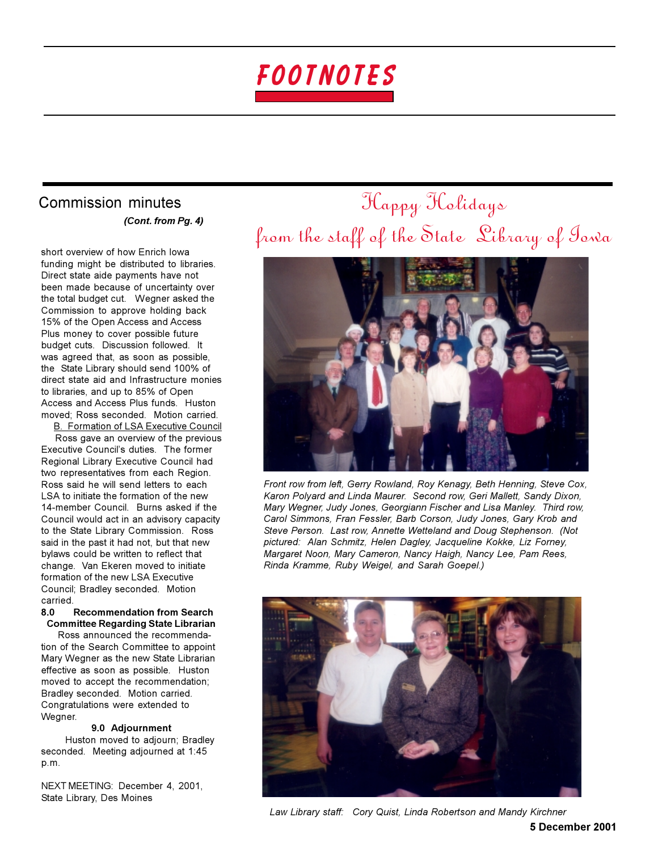

# Commission minutes (Cont. from Pg. 4)

short overview of how Enrich lowa funding might be distributed to libraries. Direct state aide payments have not been made because of uncertainty over the total budget cut. Wegner asked the Commission to approve holding back 15% of the Open Access and Access Plus money to cover possible future budget cuts. Discussion followed. It was agreed that, as soon as possible, the State Library should send 100% of direct state aid and Infrastructure monies to libraries, and up to 85% of Open Access and Access Plus funds. Huston moved: Ross seconded. Motion carried. **B. Formation of LSA Executive Council** 

Ross gave an overview of the previous Executive Council's duties. The former Regional Library Executive Council had two representatives from each Region. Ross said he will send letters to each LSA to initiate the formation of the new 14-member Council. Burns asked if the Council would act in an advisory capacity to the State Library Commission. Ross said in the past it had not, but that new bylaws could be written to reflect that change. Van Ekeren moved to initiate formation of the new LSA Executive Council; Bradley seconded. Motion carried

#### 80 **Recommendation from Search Committee Regarding State Librarian**

Ross announced the recommendation of the Search Committee to appoint Mary Wegner as the new State Librarian effective as soon as possible. Huston moved to accept the recommendation: Bradley seconded. Motion carried. Congratulations were extended to Wegner.

#### 9.0 Adjournment

Huston moved to adjourn; Bradley seconded. Meeting adjourned at 1:45 p.m.

NEXT MEETING: December 4, 2001, State Library, Des Moines

# Happy Holidays from the staff of the State Library of Towa



Front row from left, Gerry Rowland, Roy Kenagy, Beth Henning, Steve Cox, Karon Polyard and Linda Maurer. Second row, Geri Mallett, Sandy Dixon, Mary Wegner, Judy Jones, Georgiann Fischer and Lisa Manley. Third row, Carol Simmons, Fran Fessler, Barb Corson, Judy Jones, Gary Krob and Steve Person. Last row, Annette Wetteland and Doug Stephenson. (Not pictured: Alan Schmitz, Helen Dagley, Jacqueline Kokke, Liz Forney, Margaret Noon, Mary Cameron, Nancy Haigh, Nancy Lee, Pam Rees, Rinda Kramme, Ruby Weigel, and Sarah Goepel.)



Law Library staff: Cory Quist, Linda Robertson and Mandy Kirchner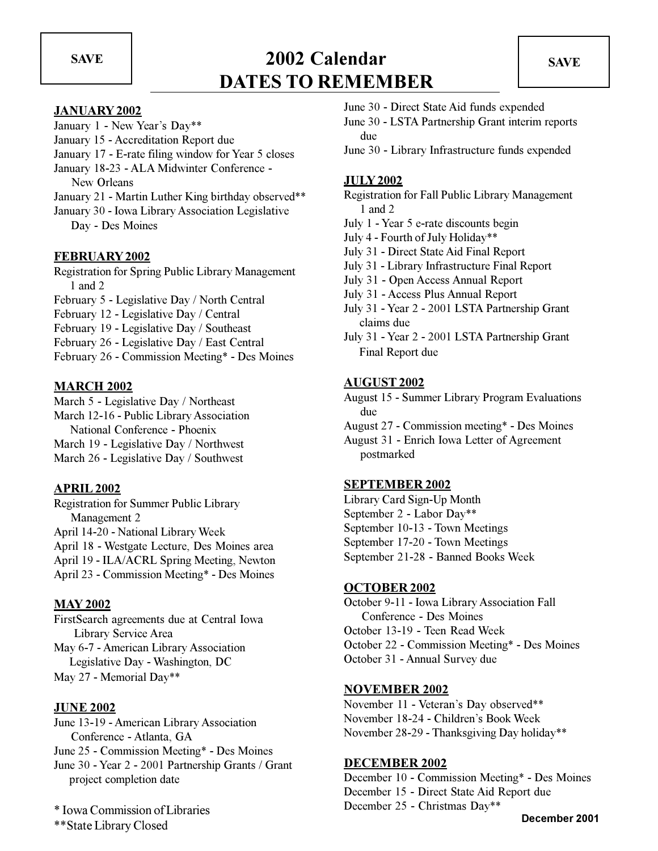**SAVE** 

# 2002 Calendar **DATES TO REMEMBER**

# **JANUARY 2002**

- January 1 New Year's Day\*\*
- January 15 Accreditation Report due
- January 17 E-rate filing window for Year 5 closes
- January 18-23 ALA Midwinter Conference -New Orleans
- January 21 Martin Luther King birthday observed\*\*
- January 30 Iowa Library Association Legislative Day - Des Moines

### **FEBRUARY 2002**

Registration for Spring Public Library Management  $1$  and  $2$ 

- February 5 Legislative Day / North Central
- February 12 Legislative Day / Central
- February 19 Legislative Day / Southeast
- February 26 Legislative Day / East Central

February 26 - Commission Meeting\* - Des Moines

## **MARCH 2002**

March 5 - Legislative Day / Northeast March 12-16 - Public Library Association National Conference - Phoenix March 19 - Legislative Day / Northwest March 26 - Legislative Day / Southwest

### **APRIL 2002**

**Registration for Summer Public Library** Management 2 April 14-20 - National Library Week April 18 - Westgate Lecture, Des Moines area April 19 - ILA/ACRL Spring Meeting, Newton April 23 - Commission Meeting\* - Des Moines

# **MAY 2002**

FirstSearch agreements due at Central Iowa Library Service Area May 6-7 - American Library Association Legislative Day - Washington, DC May 27 - Memorial Day\*\*

### **JUNE 2002**

June 13-19 - American Library Association Conference - Atlanta, GA June 25 - Commission Meeting\* - Des Moines June 30 - Year 2 - 2001 Partnership Grants / Grant project completion date

\* Iowa Commission of Libraries \*\*State Library Closed

- June 30 Direct State Aid funds expended
- June 30 LSTA Partnership Grant interim reports due
- June 30 Library Infrastructure funds expended

## **JULY 2002**

- Registration for Fall Public Library Management  $1$  and  $2$
- July 1 Year 5 e-rate discounts begin
- July 4 Fourth of July Holiday\*\*
- July 31 Direct State Aid Final Report
- July 31 Library Infrastructure Final Report
- July 31 Open Access Annual Report
- July 31 Access Plus Annual Report
- July 31 Year 2 2001 LSTA Partnership Grant claims due
- July 31 Year 2 2001 LSTA Partnership Grant Final Report due

### **AUGUST 2002**

- **August 15 Summer Library Program Evaluations** due
- August 27 Commission meeting\* Des Moines
- August 31 Enrich Iowa Letter of Agreement postmarked

### **SEPTEMBER 2002**

Library Card Sign-Up Month September 2 - Labor Day\*\* September 10-13 - Town Meetings September 17-20 - Town Meetings September 21-28 - Banned Books Week

### **OCTOBER 2002**

October 9-11 - Iowa Library Association Fall Conference - Des Moines October 13-19 - Teen Read Week October 22 - Commission Meeting\* - Des Moines October 31 - Annual Survey due

### **NOVEMBER 2002**

November 11 - Veteran's Day observed\*\* November 18-24 - Children's Book Week November 28-29 - Thanksgiving Day holiday\*\*

### **DECEMBER 2002**

December 10 - Commission Meeting\* - Des Moines December 15 - Direct State Aid Report due December 25 - Christmas Day\*\*

December 2001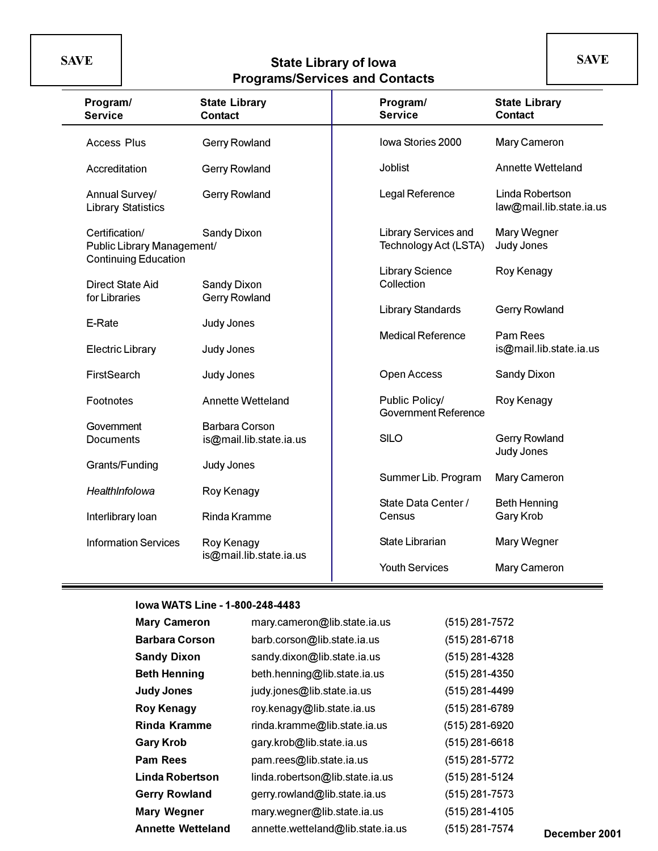**SAVE** 

# State Library of Iowa<br>Programs/Services and Contacts

| Program/<br><b>Service</b>                                                  | <b>State Library</b><br><b>Contact</b>           | Program/<br><b>Service</b>                           | <b>State Library</b><br><b>Contact</b>      |
|-----------------------------------------------------------------------------|--------------------------------------------------|------------------------------------------------------|---------------------------------------------|
| <b>Access Plus</b>                                                          | <b>Gerry Rowland</b>                             | Iowa Stories 2000                                    | Mary Cameron                                |
| Accreditation                                                               | <b>Gerry Rowland</b>                             | <b>Joblist</b>                                       | <b>Annette Wetteland</b>                    |
| Annual Survey/<br><b>Library Statistics</b>                                 | <b>Gerry Rowland</b>                             | Legal Reference                                      | Linda Robertson<br>law@mail.lib.state.ia.us |
| Certification/<br>Public Library Management/<br><b>Continuing Education</b> | <b>Sandy Dixon</b>                               | <b>Library Services and</b><br>Technology Act (LSTA) | Mary Wegner<br>Judy Jones                   |
| <b>Direct State Aid</b><br>for Libraries                                    | Sandy Dixon<br><b>Gerry Rowland</b>              | <b>Library Science</b><br>Collection                 | Roy Kenagy                                  |
| E-Rate                                                                      |                                                  | <b>Library Standards</b>                             | <b>Gerry Rowland</b>                        |
| <b>Electric Library</b>                                                     | Judy Jones<br>Judy Jones                         | <b>Medical Reference</b>                             | Pam Rees<br>is@mail.lib.state.ia.us         |
| FirstSearch                                                                 | Judy Jones                                       | Open Access                                          | Sandy Dixon                                 |
| Footnotes                                                                   | Annette Wetteland                                | Public Policy/<br><b>Government Reference</b>        | Roy Kenagy                                  |
| Government<br><b>Documents</b>                                              | <b>Barbara Corson</b><br>is@mail.lib.state.ia.us | <b>SILO</b>                                          | <b>Gerry Rowland</b><br>Judy Jones          |
| Grants/Funding                                                              | Judy Jones                                       | Summer Lib. Program                                  | Mary Cameron                                |
| HealthInfolowa                                                              | Roy Kenagy                                       |                                                      |                                             |
| Interlibrary loan                                                           | Rinda Kramme                                     | State Data Center /<br>Census                        | <b>Beth Henning</b><br>Gary Krob            |
| <b>Information Services</b>                                                 | Roy Kenagy                                       | State Librarian                                      | Mary Wegner                                 |
|                                                                             | is@mail.lib.state.ia.us                          | <b>Youth Services</b>                                | <b>Mary Cameron</b>                         |

### lowa WATS Line - 1-800-248-4483

| mary.cameron@lib.state.ia.us<br>(515) 281-7572<br><b>Mary Cameron</b>           |                 |
|---------------------------------------------------------------------------------|-----------------|
| (515) 281-6718<br><b>Barbara Corson</b><br>barb.corson@lib.state.ia.us          |                 |
| (515) 281-4328<br><b>Sandy Dixon</b><br>sandy.dixon@lib.state.ia.us             |                 |
| <b>Beth Henning</b><br>beth.henning@lib.state.ia.us<br>(515) 281-4350           |                 |
| (515) 281-4499<br><b>Judy Jones</b><br>judy.jones@lib.state.ia.us               |                 |
| (515) 281-6789<br>roy.kenagy@lib.state.ia.us<br><b>Roy Kenagy</b>               |                 |
| <b>Rinda Kramme</b><br>(515) 281-6920<br>rinda.kramme@lib.state.ia.us           |                 |
| gary.krob@lib.state.ia.us<br>(515) 281-6618<br><b>Gary Krob</b>                 |                 |
| <b>Pam Rees</b><br>(515) 281-5772<br>pam.rees@lib.state.ia.us                   |                 |
| <b>Linda Robertson</b><br>linda.robertson@lib.state.ia.us<br>(515) 281-5124     |                 |
| gerry.rowland@lib.state.ia.us<br>(515) 281-7573<br><b>Gerry Rowland</b>         |                 |
| <b>Mary Wegner</b><br>mary.wegner@lib.state.ia.us<br>(515) 281-4105             |                 |
| <b>Annette Wetteland</b><br>annette.wetteland@lib.state.ia.us<br>(515) 281-7574 | <b>December</b> |

December 2001